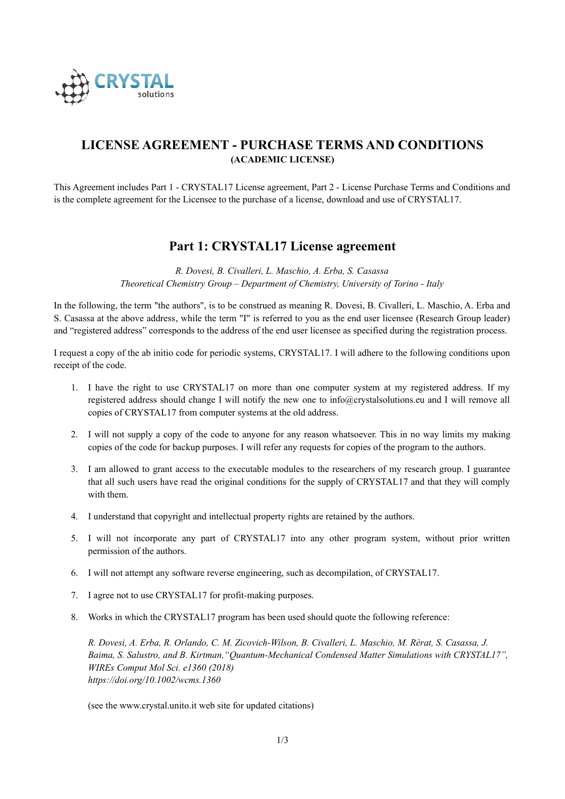

# **LICENSE AGREEMENT - PURCHASE TERMS AND CONDITIONS (ACADEMIC LICENSE)**

This Agreement includes Part 1 - CRYSTAL17 License agreement, Part 2 - License Purchase Terms and Conditions and is the complete agreement for the Licensee to the purchase of a license, download and use of CRYSTAL17.

## **Part 1: CRYSTAL17 License agreement**

*R. Dovesi, B. Civalleri, L. Maschio, A. Erba, S. Casassa Theoretical Chemistry Group – Department of Chemistry, University of Torino - Italy*

In the following, the term "the authors", is to be construed as meaning R. Dovesi, B. Civalleri, L. Maschio, A. Erba and S. Casassa at the above address, while the term "I" is referred to you as the end user licensee (Research Group leader) and "registered address" corresponds to the address of the end user licensee as specified during the registration process.

I request a copy of the ab initio code for periodic systems, CRYSTAL17. I will adhere to the following conditions upon receipt of the code.

- 1. I have the right to use CRYSTAL17 on more than one computer system at my registered address. If my registered address should change I will notify the new one to info@crystalsolutions.eu and I will remove all copies of CRYSTAL17 from computer systems at the old address.
- 2. I will not supply a copy of the code to anyone for any reason whatsoever. This in no way limits my making copies of the code for backup purposes. I will refer any requests for copies of the program to the authors.
- 3. I am allowed to grant access to the executable modules to the researchers of my research group. I guarantee that all such users have read the original conditions for the supply of CRYSTAL17 and that they will comply with them.
- 4. I understand that copyright and intellectual property rights are retained by the authors.
- 5. I will not incorporate any part of CRYSTAL17 into any other program system, without prior written permission of the authors.
- 6. I will not attempt any software reverse engineering, such as decompilation, of CRYSTAL17.
- 7. I agree not to use CRYSTAL17 for profit-making purposes.
- 8. Works in which the CRYSTAL17 program has been used should quote the following reference:

*R. Dovesi, A. Erba, R. Orlando, C. M. Zicovich-Wilson, B. Civalleri, L. Maschio, M. Rèrat, S. Casassa, J. Baima, S. Salustro, and B. Kirtman,"Quantum-Mechanical Condensed Matter Simulations with CRYSTAL17", WIREs Comput Mol Sci. e1360 (2018) https://doi.org/10.1002/wcms.1360*

(see the www.crystal.unito.it web site for updated citations)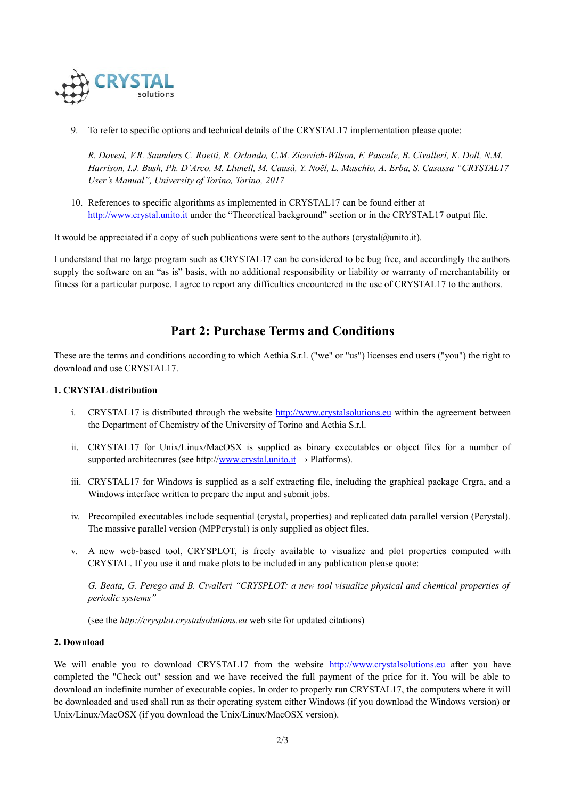

9. To refer to specific options and technical details of the CRYSTAL17 implementation please quote:

*R. Dovesi, V.R. Saunders C. Roetti, R. Orlando, C.M. Zicovich-Wilson, F. Pascale, B. Civalleri, K. Doll, N.M. Harrison, I.J. Bush, Ph. D'Arco, M. Llunell, M. Causà, Y. Noël, L. Maschio, A. Erba, S. Casassa "CRYSTAL17 User's Manual", University of Torino, Torino, 2017*

10. References to specific algorithms as implemented in CRYSTAL17 can be found either at [http://www.crystal.unito.it](http://www.crystal.unito.it/) under the "Theoretical background" section or in the CRYSTAL17 output file.

It would be appreciated if a copy of such publications were sent to the authors (crystal@unito.it).

I understand that no large program such as CRYSTAL17 can be considered to be bug free, and accordingly the authors supply the software on an "as is" basis, with no additional responsibility or liability or warranty of merchantability or fitness for a particular purpose. I agree to report any difficulties encountered in the use of CRYSTAL17 to the authors.

## **Part 2: Purchase Terms and Conditions**

These are the terms and conditions according to which Aethia S.r.l. ("we" or "us") licenses end users ("you") the right to download and use CRYSTAL17.

### **1. CRYSTAL distribution**

- i. CRYSTAL17 is distributed through the website [http://www.crystalsolutions.eu](http://www.crystalsolutions.eu/) within the agreement between the Department of Chemistry of the University of Torino and Aethia S.r.l.
- ii. CRYSTAL17 for Unix/Linux/MacOSX is supplied as binary executables or object files for a number of supported architectures (see http:/[/www.crystal.unito.it](http://www.crystal.unito.it/) → Platforms).
- iii. CRYSTAL17 for Windows is supplied as a self extracting file, including the graphical package Crgra, and a Windows interface written to prepare the input and submit jobs.
- iv. Precompiled executables include sequential (crystal, properties) and replicated data parallel version (Pcrystal). The massive parallel version (MPPcrystal) is only supplied as object files.
- v. A new web-based tool, CRYSPLOT, is freely available to visualize and plot properties computed with CRYSTAL. If you use it and make plots to be included in any publication please quote:

*G. Beata, G. Perego and B. Civalleri "CRYSPLOT: a new tool visualize physical and chemical properties of periodic systems"*

(see the *http://crysplot.crystalsolutions.eu* web site for updated citations)

#### **2. Download**

We will enable you to download CRYSTAL17 from the website [http://www.crystalsolutions.eu](http://www.crystalsolutions.eu/) after you have completed the "Check out" session and we have received the full payment of the price for it. You will be able to download an indefinite number of executable copies. In order to properly run CRYSTAL17, the computers where it will be downloaded and used shall run as their operating system either Windows (if you download the Windows version) or Unix/Linux/MacOSX (if you download the Unix/Linux/MacOSX version).